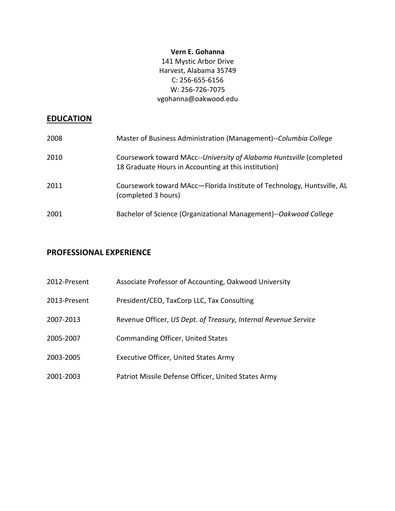### **Vern E. Gohanna**

141 Mystic Arbor Drive Harvest, Alabama 35749 C: 256-655-6156 W: 256-726-7075 vgohanna@oakwood.edu 

## **EDUCATION**

| 2008 | Master of Business Administration (Management)--Columbia College                                                            |
|------|-----------------------------------------------------------------------------------------------------------------------------|
| 2010 | Coursework toward MAcc--University of Alabama Huntsville (completed<br>18 Graduate Hours in Accounting at this institution) |
| 2011 | Coursework toward MAcc-Florida Institute of Technology, Huntsville, AL<br>(completed 3 hours)                               |
| 2001 | Bachelor of Science (Organizational Management)--Oakwood College                                                            |

## **PROFESSIONAL EXPERIENCE**

| 2012-Present | Associate Professor of Accounting, Oakwood University           |
|--------------|-----------------------------------------------------------------|
| 2013-Present | President/CEO, TaxCorp LLC, Tax Consulting                      |
| 2007-2013    | Revenue Officer, US Dept. of Treasury, Internal Revenue Service |
| 2005-2007    | <b>Commanding Officer, United States</b>                        |
| 2003-2005    | <b>Executive Officer, United States Army</b>                    |
| 2001-2003    | Patriot Missile Defense Officer, United States Army             |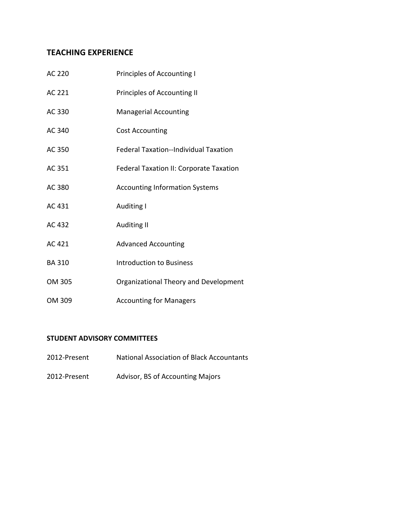# **TEACHING EXPERIENCE**

| AC 220       | <b>Principles of Accounting I</b>              |
|--------------|------------------------------------------------|
| AC 221       | Principles of Accounting II                    |
| AC 330       | <b>Managerial Accounting</b>                   |
| AC 340       | <b>Cost Accounting</b>                         |
| AC 350       | <b>Federal Taxation--Individual Taxation</b>   |
| AC 351       | <b>Federal Taxation II: Corporate Taxation</b> |
| AC 380       | <b>Accounting Information Systems</b>          |
| AC 431       | Auditing I                                     |
| AC 432       | Auditing II                                    |
| AC 421       | <b>Advanced Accounting</b>                     |
| <b>BA310</b> | <b>Introduction to Business</b>                |
| OM 305       | Organizational Theory and Development          |
| OM 309       | <b>Accounting for Managers</b>                 |

### **STUDENT ADVISORY COMMITTEES**

- 2012-Present National Association of Black Accountants
- 2012-Present Advisor, BS of Accounting Majors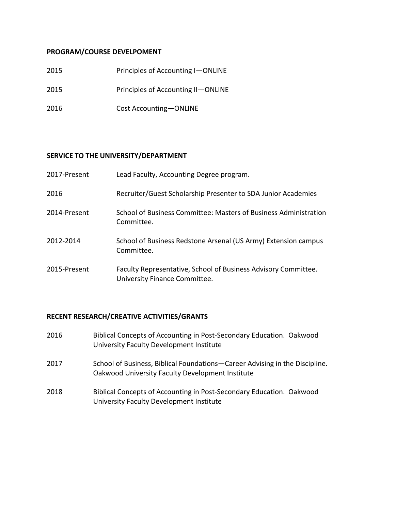### **PROGRAM/COURSE DEVELPOMENT**

| 2015 | Principles of Accounting I-ONLINE  |
|------|------------------------------------|
| 2015 | Principles of Accounting II-ONLINE |
| 2016 | Cost Accounting-ONLINE             |

### **SERVICE TO THE UNIVERSITY/DEPARTMENT**

| 2017-Present | Lead Faculty, Accounting Degree program.                                                        |
|--------------|-------------------------------------------------------------------------------------------------|
| 2016         | Recruiter/Guest Scholarship Presenter to SDA Junior Academies                                   |
| 2014-Present | School of Business Committee: Masters of Business Administration<br>Committee.                  |
| 2012-2014    | School of Business Redstone Arsenal (US Army) Extension campus<br>Committee.                    |
| 2015-Present | Faculty Representative, School of Business Advisory Committee.<br>University Finance Committee. |

## **RECENT RESEARCH/CREATIVE ACTIVITIES/GRANTS**

| 2016 | Biblical Concepts of Accounting in Post-Secondary Education. Oakwood<br>University Faculty Development Institute                |
|------|---------------------------------------------------------------------------------------------------------------------------------|
| 2017 | School of Business, Biblical Foundations–Career Advising in the Discipline.<br>Oakwood University Faculty Development Institute |
| 2018 | Biblical Concepts of Accounting in Post-Secondary Education. Oakwood<br>University Faculty Development Institute                |